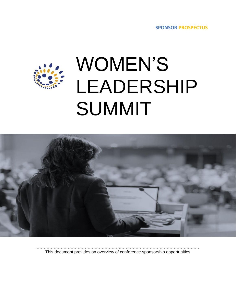**SPONSOR PROSPECTUS**





 This document provides an overview of conference sponsorship opportunities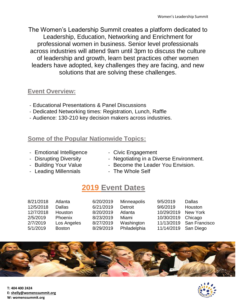The Women's Leadership Summit creates a platform dedicated to Leadership, Education, Networking and Enrichment for professional women in business. Senior level professionals across industries will attend 9am until 3pm to discuss the culture of leadership and growth, learn best practices other women leaders have adopted, key challenges they are facing, and new solutions that are solving these challenges.

### **Event Overview:**

- Educational Presentations & Panel Discussions
- Dedicated Networking times: Registration, Lunch, Raffle
- Audience: 130-210 key decision makers across industries.

## **Some of the Popular Nationwide Topics:**

- Emotional Intelligence
- Civic Engagement
- Disrupting Diversity
- Building Your Value
- Leading Millennials
- Negotiating in a Diverse Environment.
- Become the Leader You Envision.
- The Whole Self

# **2019 Event Dates**

| 8/21/2018 | Atlanta       | 6/20/2019 | Minneapolis  | 9/5/2019   | <b>Dallas</b> |
|-----------|---------------|-----------|--------------|------------|---------------|
| 12/5/2018 | <b>Dallas</b> | 6/21/2019 | Detroit      | 9/6/2019   | Houston       |
| 12/7/2018 | Houston       | 8/20/2019 | Atlanta      | 10/29/2019 | New York      |
| 2/5/2019  | Phoenix       | 8/23/2019 | Miami        | 10/30/2019 | Chicago       |
| 2/7/2019  | Los Angeles   | 8/27/2019 | Washington   | 11/13/2019 | San Francisco |
| 5/1/2019  | <b>Boston</b> | 8/29/2019 | Philadelphia | 11/14/2019 | San Diego     |



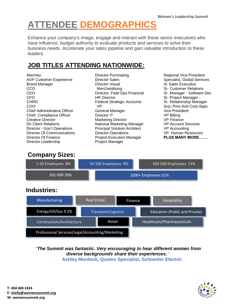# **ATTENDEE DEMOGRAPHICS**

Enhance your company's image, engage and interact with these senior executives who have influence, budget authority to evaluate products and services to solve their business needs. Accelerate your sales pipeline and gain valuable introduction to these leaders.

## **JOB TITLES ATTENDING NATIONWIDE:**

**Attorney** AVP Customer Experience Brand Manager CCO CEO CFO **CHRO** COO Chief Administrative Officer Chief Compliance Officer Creative Director Dir Client Relations Director - Gov't Operations Director Of Communications Director Of Finance Director Leadership

- Director Purchasing Director Sales Director Visual Merchandising Director, Field Ops Financial HR Director Federal Strategic Accounts VP General Manager Director IT Marketing Director National Marketing Manager Principal Solution Architect Director Operations Project Execution Manager Project Manager
- Regional Vice President Specialist, Global Services Sr Sales Executive Sr. Customer Relations Sr. Manager - Software Dev Sr. Project Manager - Sr. Relationship Manager Svp, Pmo And Corp Apps Vice President VP Billing VP Finance VP Account Services VP Accounting VP Human Resources **PLUS MANY MORE…….**

## **Company Sizes:**



*"The Summit was fantastic. Very encouraging to hear different women from diverse backgrounds share their experiences."* - **Ashley Murdock, Quotes Specialist, Schneider Electric**

**T: 404 400 2424 E[: shelly@womenssummit.org](mailto:shelly@womenssummit.org) W: womenssummit.org** 

8.1%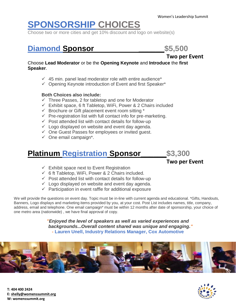# **SPONSORSHIP CHOICES**

Choose two or more cities and get 10% discount and logo on website(s)

## **Diamond Sponsor \_\_\_\_\_\_\$5,500**

**Two per Event** 

#### Choose **Lead Moderator** or be the **Opening Keynote** and **Introduce** the **first Speaker**.

- $\checkmark$  45 min. panel lead moderator role with entire audience<sup>\*</sup>
- ✓ Opening Keynote introduction of Event and first Speaker\*

#### **Both Choices also include:**

- $\checkmark$  Three Passes, 2 for tabletop and one for Moderator
- $\checkmark$  Exhibit space, 6 ft Tabletop, WiFi, Power & 2 Chairs included
- $\checkmark$  Brochure or Gift placement event room sitting  $*$
- $\checkmark$  Pre-registration list with full contact info for pre-marketing.
- $\checkmark$  Post attended list with contact details for follow-up
- $\checkmark$  Logo displayed on website and event day agenda.
- $\checkmark$  One Guest Passes for employees or invited quest.
- $\checkmark$  One email campaign\*.

## **Platinum Registration Sponsor\_\_\_\_\_\_\$3,300**

### **Two per Event**

- $\checkmark$  Exhibit space next to Event Registration
- $\checkmark$  6 ft Tabletop, WiFi, Power & 2 Chairs included.
- $\checkmark$  Post attended list with contact details for follow-up
- $\checkmark$  Logo displayed on website and event day agenda.
- $\checkmark$  Participation in event raffle for additional exposure

We will provide the questions on event day. Topic must be in-line with current agenda and educational. \*Gifts, Handouts, Banners, Logo displays and marketing items provided by you, at your cost. Post List includes names, title, company, address, email and telephone. One email campaign\* must be within 12 months after date of sponsorship, your choice of one metro area (nationwide) , we have final approval of copy.

> *"Enjoyed the level of speakers as well as varied experiences and backgrounds...Overall content shared was unique and engaging."* **- Lauren Unell, Industry Relations Manager, Cox Automotive**





**T: 404 400 2424 E[: shelly@womenssummit.org](mailto:shelly@womenssummit.org) W: womenssummit.org**